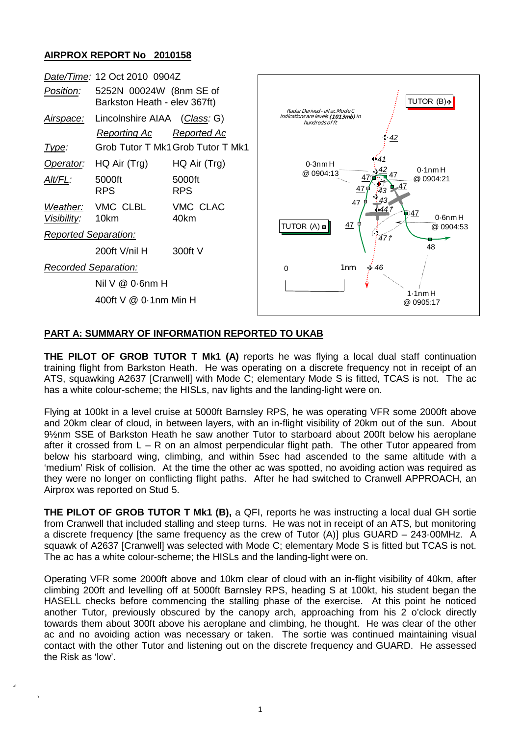## **AIRPROX REPORT No 2010158**

|                             | Date/Time: 12 Oct 2010 0904Z                            |                                   |                                                                                                                                          |  |
|-----------------------------|---------------------------------------------------------|-----------------------------------|------------------------------------------------------------------------------------------------------------------------------------------|--|
| Position:                   | 5252N 00024W (8nm SE of<br>Barkston Heath - elev 367ft) |                                   | TUTOR (B) +<br>Radar Derived - all ac Mode C<br>indications are levels (1013mb) in<br>hundreds of ft                                     |  |
| <u>Airspace:</u>            | Lincolnshire AIAA (Class: G)                            |                                   |                                                                                                                                          |  |
|                             | <b>Reporting Ac</b>                                     | <b>Reported Ac</b>                | <u>42</u>                                                                                                                                |  |
| Type:                       |                                                         | Grob Tutor T Mk1 Grob Tutor T Mk1 |                                                                                                                                          |  |
| Operator:                   | HQ Air (Trg)                                            | HQ Air (Trg)                      | $0.3$ nm $H$<br>$0.1$ nm H<br>@ 0904:13<br>@ 0904:21<br>43<br>47<br>-5441<br>47<br>$0.6$ nm $H$<br>47<br>TUTOR $(A)$ $\Box$<br>@ 0904:53 |  |
| $Alt/FL$ :                  | 5000ft<br><b>RPS</b>                                    | 5000ft<br><b>RPS</b>              |                                                                                                                                          |  |
| Weather:<br>Visibility:     | VMC CLBL<br>10km                                        | VMC CLAC<br>40km                  |                                                                                                                                          |  |
| <b>Reported Separation:</b> |                                                         |                                   | €.<br>47f                                                                                                                                |  |
|                             | 200ft V/nil H                                           | 300ft V                           | 48                                                                                                                                       |  |
| Recorded Separation:        |                                                         |                                   | 1 <sub>nm</sub><br>46<br>€<br>$\Omega$                                                                                                   |  |
|                             | Nil $V @ 0.6$ nm H                                      |                                   |                                                                                                                                          |  |
| 400ft V @ 0.1nm Min H       |                                                         |                                   | $1.1$ nm $H$<br>@ 0905:17                                                                                                                |  |
|                             |                                                         |                                   |                                                                                                                                          |  |

## **PART A: SUMMARY OF INFORMATION REPORTED TO UKAB**

**THE PILOT OF GROB TUTOR T Mk1 (A)** reports he was flying a local dual staff continuation training flight from Barkston Heath. He was operating on a discrete frequency not in receipt of an ATS, squawking A2637 [Cranwell] with Mode C; elementary Mode S is fitted, TCAS is not. The ac has a white colour-scheme; the HISLs, nav lights and the landing-light were on.

Flying at 100kt in a level cruise at 5000ft Barnsley RPS, he was operating VFR some 2000ft above and 20km clear of cloud, in between layers, with an in-flight visibility of 20km out of the sun. About 9½nm SSE of Barkston Heath he saw another Tutor to starboard about 200ft below his aeroplane after it crossed from  $L - R$  on an almost perpendicular flight path. The other Tutor appeared from below his starboard wing, climbing, and within 5sec had ascended to the same altitude with a 'medium' Risk of collision. At the time the other ac was spotted, no avoiding action was required as they were no longer on conflicting flight paths. After he had switched to Cranwell APPROACH, an Airprox was reported on Stud 5.

**THE PILOT OF GROB TUTOR T Mk1 (B),** a QFI, reports he was instructing a local dual GH sortie from Cranwell that included stalling and steep turns. He was not in receipt of an ATS, but monitoring a discrete frequency [the same frequency as the crew of Tutor (A)] plus GUARD – 243·00MHz. A squawk of A2637 [Cranwell] was selected with Mode C; elementary Mode S is fitted but TCAS is not. The ac has a white colour-scheme; the HISLs and the landing-light were on.

Operating VFR some 2000ft above and 10km clear of cloud with an in-flight visibility of 40km, after climbing 200ft and levelling off at 5000ft Barnsley RPS, heading S at 100kt, his student began the HASELL checks before commencing the stalling phase of the exercise. At this point he noticed another Tutor, previously obscured by the canopy arch, approaching from his 2 o'clock directly towards them about 300ft above his aeroplane and climbing, he thought. He was clear of the other ac and no avoiding action was necessary or taken. The sortie was continued maintaining visual contact with the other Tutor and listening out on the discrete frequency and GUARD. He assessed the Risk as 'low'.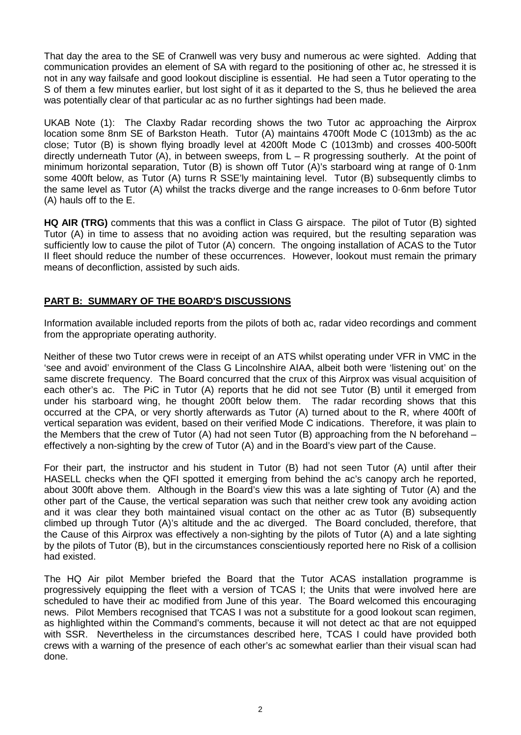That day the area to the SE of Cranwell was very busy and numerous ac were sighted. Adding that communication provides an element of SA with regard to the positioning of other ac, he stressed it is not in any way failsafe and good lookout discipline is essential. He had seen a Tutor operating to the S of them a few minutes earlier, but lost sight of it as it departed to the S, thus he believed the area was potentially clear of that particular ac as no further sightings had been made.

UKAB Note (1): The Claxby Radar recording shows the two Tutor ac approaching the Airprox location some 8nm SE of Barkston Heath. Tutor (A) maintains 4700ft Mode C (1013mb) as the ac close; Tutor (B) is shown flying broadly level at 4200ft Mode C (1013mb) and crosses 400-500ft directly underneath Tutor (A), in between sweeps, from  $L - R$  progressing southerly. At the point of minimum horizontal separation, Tutor (B) is shown off Tutor (A)'s starboard wing at range of 0·1nm some 400ft below, as Tutor (A) turns R SSE'ly maintaining level. Tutor (B) subsequently climbs to the same level as Tutor (A) whilst the tracks diverge and the range increases to 0·6nm before Tutor (A) hauls off to the E.

**HQ AIR (TRG)** comments that this was a conflict in Class G airspace. The pilot of Tutor (B) sighted Tutor (A) in time to assess that no avoiding action was required, but the resulting separation was sufficiently low to cause the pilot of Tutor (A) concern. The ongoing installation of ACAS to the Tutor II fleet should reduce the number of these occurrences. However, lookout must remain the primary means of deconfliction, assisted by such aids.

## **PART B: SUMMARY OF THE BOARD'S DISCUSSIONS**

Information available included reports from the pilots of both ac, radar video recordings and comment from the appropriate operating authority.

Neither of these two Tutor crews were in receipt of an ATS whilst operating under VFR in VMC in the 'see and avoid' environment of the Class G Lincolnshire AIAA, albeit both were 'listening out' on the same discrete frequency. The Board concurred that the crux of this Airprox was visual acquisition of each other's ac. The PiC in Tutor (A) reports that he did not see Tutor (B) until it emerged from under his starboard wing, he thought 200ft below them. The radar recording shows that this occurred at the CPA, or very shortly afterwards as Tutor (A) turned about to the R, where 400ft of vertical separation was evident, based on their verified Mode C indications. Therefore, it was plain to the Members that the crew of Tutor (A) had not seen Tutor (B) approaching from the N beforehand – effectively a non-sighting by the crew of Tutor (A) and in the Board's view part of the Cause.

For their part, the instructor and his student in Tutor (B) had not seen Tutor (A) until after their HASELL checks when the QFI spotted it emerging from behind the ac's canopy arch he reported, about 300ft above them. Although in the Board's view this was a late sighting of Tutor (A) and the other part of the Cause, the vertical separation was such that neither crew took any avoiding action and it was clear they both maintained visual contact on the other ac as Tutor (B) subsequently climbed up through Tutor (A)'s altitude and the ac diverged. The Board concluded, therefore, that the Cause of this Airprox was effectively a non-sighting by the pilots of Tutor (A) and a late sighting by the pilots of Tutor (B), but in the circumstances conscientiously reported here no Risk of a collision had existed.

The HQ Air pilot Member briefed the Board that the Tutor ACAS installation programme is progressively equipping the fleet with a version of TCAS I; the Units that were involved here are scheduled to have their ac modified from June of this year. The Board welcomed this encouraging news. Pilot Members recognised that TCAS I was not a substitute for a good lookout scan regimen, as highlighted within the Command's comments, because it will not detect ac that are not equipped with SSR. Nevertheless in the circumstances described here, TCAS I could have provided both crews with a warning of the presence of each other's ac somewhat earlier than their visual scan had done.